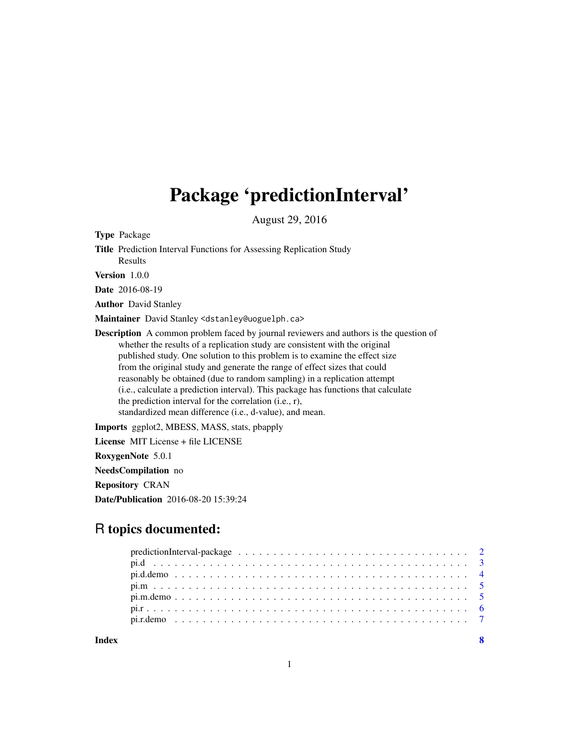## Package 'predictionInterval'

August 29, 2016

Type Package

Title Prediction Interval Functions for Assessing Replication Study Results

Version 1.0.0

Date 2016-08-19

Author David Stanley

Maintainer David Stanley <dstanley@uoguelph.ca>

Description A common problem faced by journal reviewers and authors is the question of whether the results of a replication study are consistent with the original published study. One solution to this problem is to examine the effect size from the original study and generate the range of effect sizes that could reasonably be obtained (due to random sampling) in a replication attempt (i.e., calculate a prediction interval). This package has functions that calculate the prediction interval for the correlation (i.e., r), standardized mean difference (i.e., d-value), and mean.

Imports ggplot2, MBESS, MASS, stats, pbapply

License MIT License + file LICENSE

RoxygenNote 5.0.1

NeedsCompilation no

Repository CRAN

Date/Publication 2016-08-20 15:39:24

## R topics documented:

**Index** [8](#page-7-0) **8**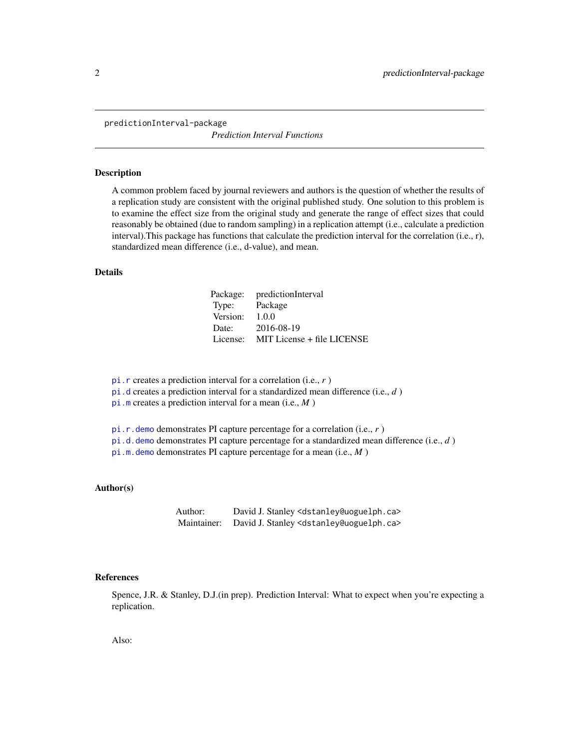<span id="page-1-0"></span>predictionInterval-package

*Prediction Interval Functions*

#### Description

A common problem faced by journal reviewers and authors is the question of whether the results of a replication study are consistent with the original published study. One solution to this problem is to examine the effect size from the original study and generate the range of effect sizes that could reasonably be obtained (due to random sampling) in a replication attempt (i.e., calculate a prediction interval).This package has functions that calculate the prediction interval for the correlation (i.e., r), standardized mean difference (i.e., d-value), and mean.

#### Details

|          | Package: predictionInterval |
|----------|-----------------------------|
| Type:    | Package                     |
| Version: | 1.0.0                       |
| Date:    | 2016-08-19                  |
| License: | MIT License + file LICENSE  |

[pi.r](#page-5-1) creates a prediction interval for a correlation (i.e., *r* )

[pi.d](#page-2-1) creates a prediction interval for a standardized mean difference (i.e., *d* )

[pi.m](#page-4-1) creates a prediction interval for a mean (i.e., *M* )

[pi.r.demo](#page-6-1) demonstrates PI capture percentage for a correlation (i.e., *r* )

[pi.d.demo](#page-3-1) demonstrates PI capture percentage for a standardized mean difference (i.e., *d* )

[pi.m.demo](#page-4-2) demonstrates PI capture percentage for a mean (i.e., *M* )

#### Author(s)

Author: David J. Stanley <dstanley@uoguelph.ca> Maintainer: David J. Stanley <dstanley@uoguelph.ca>

## References

Spence, J.R. & Stanley, D.J.(in prep). Prediction Interval: What to expect when you're expecting a replication.

Also: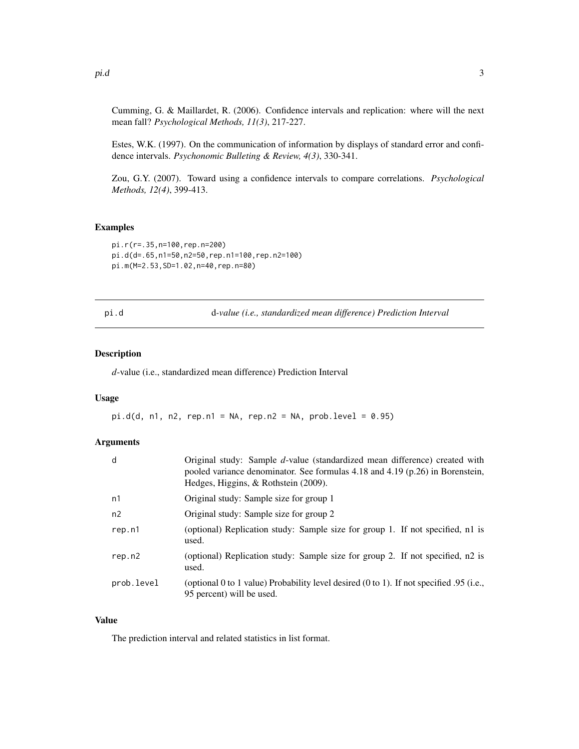<span id="page-2-0"></span>Cumming, G. & Maillardet, R. (2006). Confidence intervals and replication: where will the next mean fall? *Psychological Methods, 11(3)*, 217-227.

Estes, W.K. (1997). On the communication of information by displays of standard error and confidence intervals. *Psychonomic Bulleting & Review, 4(3)*, 330-341.

Zou, G.Y. (2007). Toward using a confidence intervals to compare correlations. *Psychological Methods, 12(4)*, 399-413.

#### Examples

```
pi.r(r=.35,n=100,rep.n=200)
pi.d(d=.65,n1=50,n2=50,rep.n1=100,rep.n2=100)
pi.m(M=2.53,SD=1.02,n=40,rep.n=80)
```
<span id="page-2-1"></span>pi.d d*-value (i.e., standardized mean difference) Prediction Interval*

### Description

*d*-value (i.e., standardized mean difference) Prediction Interval

#### Usage

 $pi.d(d, n1, n2, rep.n1 = NA, rep.n2 = NA, prob.level = 0.95)$ 

## Arguments

| d              | Original study: Sample d-value (standardized mean difference) created with<br>pooled variance denominator. See formulas 4.18 and 4.19 (p.26) in Borenstein,<br>Hedges, Higgins, & Rothstein (2009). |
|----------------|-----------------------------------------------------------------------------------------------------------------------------------------------------------------------------------------------------|
| n1             | Original study: Sample size for group 1                                                                                                                                                             |
| n <sub>2</sub> | Original study: Sample size for group 2                                                                                                                                                             |
| rep.n1         | (optional) Replication study: Sample size for group 1. If not specified, n1 is<br>used.                                                                                                             |
| rep.n2         | (optional) Replication study: Sample size for group 2. If not specified, n2 is<br>used.                                                                                                             |
| prob.level     | (optional 0 to 1 value) Probability level desired (0 to 1). If not specified 0.95 (i.e.,<br>95 percent) will be used.                                                                               |

## Value

The prediction interval and related statistics in list format.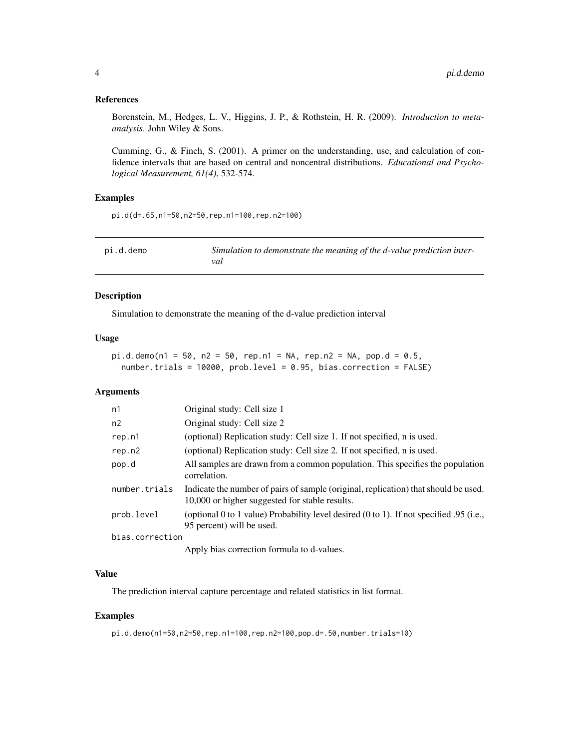## <span id="page-3-0"></span>References

Borenstein, M., Hedges, L. V., Higgins, J. P., & Rothstein, H. R. (2009). *Introduction to metaanalysis*. John Wiley & Sons.

Cumming, G., & Finch, S. (2001). A primer on the understanding, use, and calculation of confidence intervals that are based on central and noncentral distributions. *Educational and Psychological Measurement, 61(4)*, 532-574.

## Examples

pi.d(d=.65,n1=50,n2=50,rep.n1=100,rep.n2=100)

<span id="page-3-1"></span>

| pi.d.demo | Simulation to demonstrate the meaning of the d-value prediction inter- |
|-----------|------------------------------------------------------------------------|
|           | val                                                                    |

## Description

Simulation to demonstrate the meaning of the d-value prediction interval

## Usage

```
pi.d.demo(n1 = 50, n2 = 50, rep.n1 = NA, rep.n2 = NA, pop.d = 0.5,number.trials = 10000, prob.level = 0.95, bias.correction = FALSE)
```
#### **Arguments**

| n1              | Original study: Cell size 1                                                                                                           |
|-----------------|---------------------------------------------------------------------------------------------------------------------------------------|
| n2              | Original study: Cell size 2                                                                                                           |
| rep.n1          | (optional) Replication study: Cell size 1. If not specified, n is used.                                                               |
| rep.n2          | (optional) Replication study: Cell size 2. If not specified, n is used.                                                               |
| pop.d           | All samples are drawn from a common population. This specifies the population<br>correlation.                                         |
| number.trials   | Indicate the number of pairs of sample (original, replication) that should be used.<br>10,000 or higher suggested for stable results. |
| prob.level      | (optional 0 to 1 value) Probability level desired $(0 \text{ to } 1)$ . If not specified 0.95 (i.e.,<br>95 percent) will be used.     |
| bias.correction |                                                                                                                                       |
|                 |                                                                                                                                       |

Apply bias correction formula to d-values.

## Value

The prediction interval capture percentage and related statistics in list format.

#### Examples

pi.d.demo(n1=50,n2=50,rep.n1=100,rep.n2=100,pop.d=.50,number.trials=10)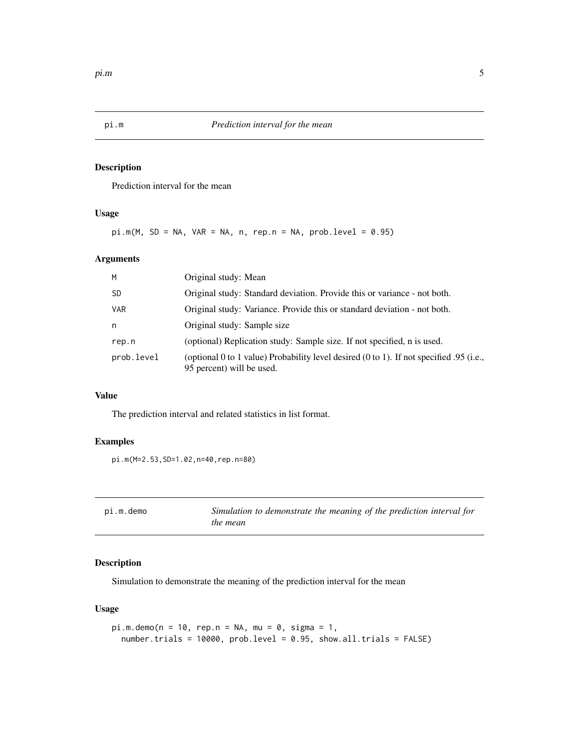<span id="page-4-1"></span><span id="page-4-0"></span>

## Description

Prediction interval for the mean

## Usage

 $pi.m(M, SD = NA, VAR = NA, n, rep.n = NA, prob.level = 0.95)$ 

## Arguments

| M          | Original study: Mean                                                                                                              |
|------------|-----------------------------------------------------------------------------------------------------------------------------------|
| -SD        | Original study: Standard deviation. Provide this or variance - not both.                                                          |
| <b>VAR</b> | Original study: Variance. Provide this or standard deviation - not both.                                                          |
| n          | Original study: Sample size                                                                                                       |
| rep.n      | (optional) Replication study: Sample size. If not specified, n is used.                                                           |
| prob.level | (optional 0 to 1 value) Probability level desired $(0 \text{ to } 1)$ . If not specified 0.95 (i.e.,<br>95 percent) will be used. |

## Value

The prediction interval and related statistics in list format.

## Examples

pi.m(M=2.53,SD=1.02,n=40,rep.n=80)

<span id="page-4-2"></span>

| pi.m.demo | Simulation to demonstrate the meaning of the prediction interval for |
|-----------|----------------------------------------------------------------------|
|           | the mean                                                             |

## Description

Simulation to demonstrate the meaning of the prediction interval for the mean

## Usage

```
pi.m.demo(n = 10, rep.n = NA, mu = 0, sigma = 1,number.trials = 10000, prob.level = 0.95, show.all.trials = FALSE)
```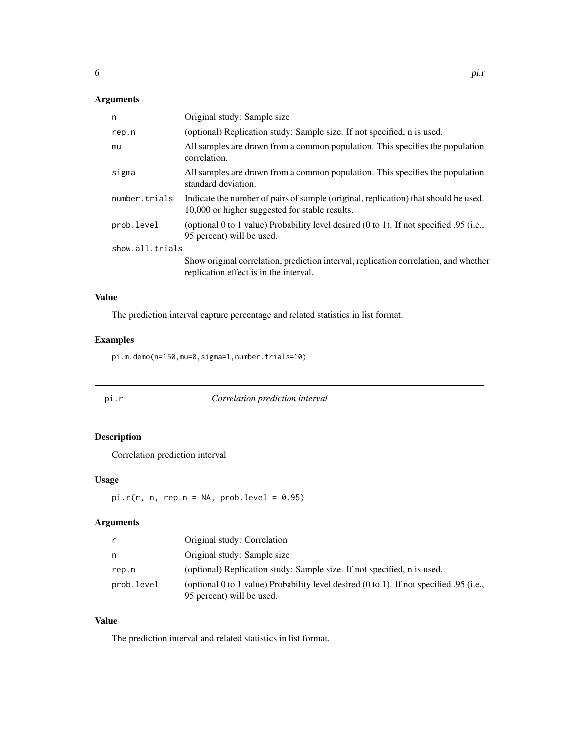## <span id="page-5-0"></span>Arguments

| n               | Original study: Sample size                                                                                                           |
|-----------------|---------------------------------------------------------------------------------------------------------------------------------------|
| rep.n           | (optional) Replication study: Sample size. If not specified, n is used.                                                               |
| mu              | All samples are drawn from a common population. This specifies the population<br>correlation.                                         |
| sigma           | All samples are drawn from a common population. This specifies the population<br>standard deviation.                                  |
| number.trials   | Indicate the number of pairs of sample (original, replication) that should be used.<br>10,000 or higher suggested for stable results. |
| prob.level      | (optional 0 to 1 value) Probability level desired $(0 \text{ to } 1)$ . If not specified 0.95 (i.e.,<br>95 percent) will be used.     |
| show.all.trials |                                                                                                                                       |
|                 | Show original correlation, prediction interval, replication correlation, and whether<br>replication effect is in the interval.        |

## Value

The prediction interval capture percentage and related statistics in list format.

## Examples

pi.m.demo(n=150,mu=0,sigma=1,number.trials=10)

<span id="page-5-1"></span>

pi.r *Correlation prediction interval*

## Description

Correlation prediction interval

## Usage

 $pi.r(r, n, rep.n = NA, prob. level = 0.95)$ 

## Arguments

|            | Original study: Correlation                                                                                          |
|------------|----------------------------------------------------------------------------------------------------------------------|
| n.         | Original study: Sample size                                                                                          |
| rep.n      | (optional) Replication study: Sample size. If not specified, n is used.                                              |
| prob.level | (optional 0 to 1 value) Probability level desired (0 to 1). If not specified .95 (i.e.,<br>95 percent) will be used. |

## Value

The prediction interval and related statistics in list format.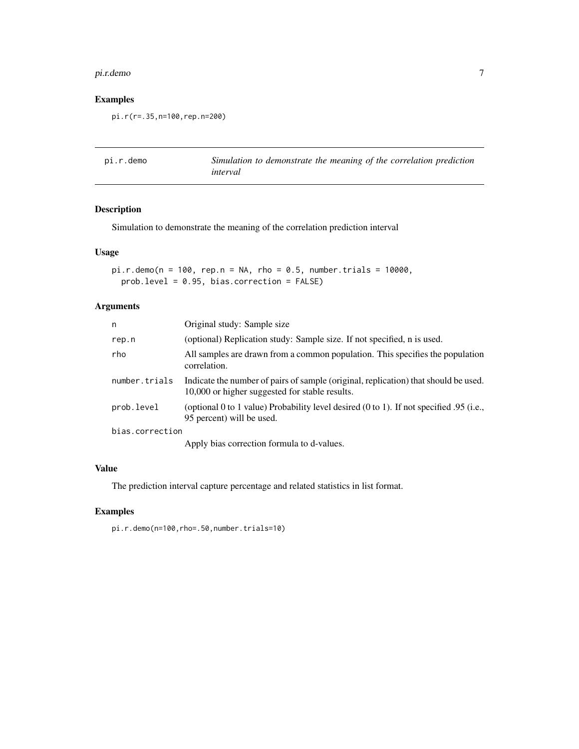#### <span id="page-6-0"></span>pi.r.demo 7

## Examples

pi.r(r=.35,n=100,rep.n=200)

<span id="page-6-1"></span>

| pi.r.demo | Simulation to demonstrate the meaning of the correlation prediction |
|-----------|---------------------------------------------------------------------|
|           | interval                                                            |

## Description

Simulation to demonstrate the meaning of the correlation prediction interval

## Usage

```
pi.r.demo(n = 100, rep.n = NA, rho = 0.5, number.trials = 10000,prob.level = 0.95, bias.correction = FALSE)
```
## Arguments

| n               | Original study: Sample size                                                                                                           |
|-----------------|---------------------------------------------------------------------------------------------------------------------------------------|
| rep.n           | (optional) Replication study: Sample size. If not specified, n is used.                                                               |
| rho             | All samples are drawn from a common population. This specifies the population<br>correlation.                                         |
| number.trials   | Indicate the number of pairs of sample (original, replication) that should be used.<br>10,000 or higher suggested for stable results. |
| prob.level      | (optional 0 to 1 value) Probability level desired $(0 \text{ to } 1)$ . If not specified 0.95 (i.e.,<br>95 percent) will be used.     |
| bias.correction |                                                                                                                                       |
|                 | Apply hiss compation formula to develope                                                                                              |

Apply bias correction formula to d-values.

## Value

The prediction interval capture percentage and related statistics in list format.

## Examples

pi.r.demo(n=100,rho=.50,number.trials=10)